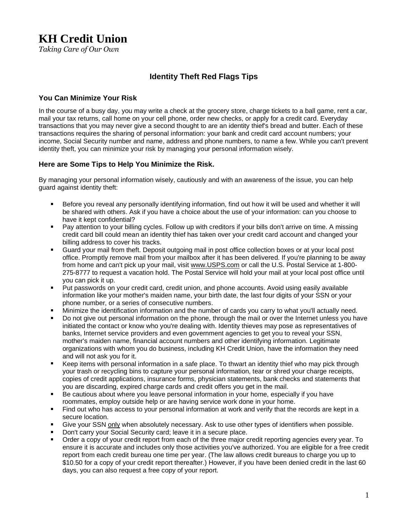# **KH Credit Union**

*Taking Care of Our Own* 

## **Identity Theft Red Flags Tips**

#### **You Can Minimize Your Risk**

In the course of a busy day, you may write a check at the grocery store, charge tickets to a ball game, rent a car, mail your tax returns, call home on your cell phone, order new checks, or apply for a credit card. Everyday transactions that you may never give a second thought to are an identity thief's bread and butter. Each of these transactions requires the sharing of personal information: your bank and credit card account numbers; your income, Social Security number and name, address and phone numbers, to name a few. While you can't prevent identity theft, you can minimize your risk by managing your personal information wisely.

#### **Here are Some Tips to Help You Minimize the Risk.**

By managing your personal information wisely, cautiously and with an awareness of the issue, you can help guard against identity theft:

- Before you reveal any personally identifying information, find out how it will be used and whether it will be shared with others. Ask if you have a choice about the use of your information: can you choose to have it kept confidential?
- $\mathbf{r}$ Pay attention to your billing cycles. Follow up with creditors if your bills don't arrive on time. A missing credit card bill could mean an identity thief has taken over your credit card account and changed your billing address to cover his tracks.
- Guard your mail from theft. Deposit outgoing mail in post office collection boxes or at your local post office. Promptly remove mail from your mailbox after it has been delivered. If you're planning to be away from home and can't pick up your mail, visit www.USPS.com or call the U.S. Postal Service at 1-800- 275-8777 to request a vacation hold. The Postal Service will hold your mail at your local post office until you can pick it up.
- $\blacksquare$ Put passwords on your credit card, credit union, and phone accounts. Avoid using easily available information like your mother's maiden name, your birth date, the last four digits of your SSN or your phone number, or a series of consecutive numbers.
- Minimize the identification information and the number of cards you carry to what you'll actually need.
- Do not give out personal information on the phone, through the mail or over the Internet unless you have initiated the contact or know who you're dealing with. Identity thieves may pose as representatives of banks, Internet service providers and even government agencies to get you to reveal your SSN, mother's maiden name, financial account numbers and other identifying information. Legitimate organizations with whom you do business, including KH Credit Union, have the information they need and will not ask you for it.
- $\blacksquare$ Keep items with personal information in a safe place. To thwart an identity thief who may pick through your trash or recycling bins to capture your personal information, tear or shred your charge receipts, copies of credit applications, insurance forms, physician statements, bank checks and statements that you are discarding, expired charge cards and credit offers you get in the mail.
- $\blacksquare$ Be cautious about where you leave personal information in your home, especially if you have roommates, employ outside help or are having service work done in your home.
- $\blacksquare$ Find out who has access to your personal information at work and verify that the records are kept in a secure location.
- $\blacksquare$ Give your SSN only when absolutely necessary. Ask to use other types of identifiers when possible.
- Don't carry your Social Security card; leave it in a secure place.
- Order a copy of your credit report from each of the three major credit reporting agencies every year. To ensure it is accurate and includes only those activities you've authorized. You are eligible for a free credit report from each credit bureau one time per year. (The law allows credit bureaus to charge you up to \$10.50 for a copy of your credit report thereafter.) However, if you have been denied credit in the last 60 days, you can also request a free copy of your report.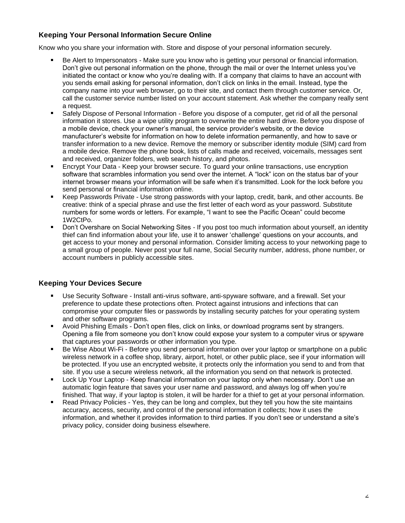## **Keeping Your Personal Information Secure Online**

Know who you share your information with. Store and dispose of your personal information securely.

- Be Alert to Impersonators Make sure you know who is getting your personal or financial information.  $\blacksquare$ Don't give out personal information on the phone, through the mail or over the Internet unless you've initiated the contact or know who you're dealing with. If a company that claims to have an account with you sends email asking for personal information, don't click on links in the email. Instead, type the company name into your web browser, go to their site, and contact them through customer service. Or, call the customer service number listed on your account statement. Ask whether the company really sent a request.
- Safely Dispose of Personal Information Before you dispose of a computer, get rid of all the personal information it stores. Use a wipe utility program to overwrite the entire hard drive. Before you dispose of a mobile device, check your owner's manual, the service provider's website, or the device manufacturer's website for information on how to delete information permanently, and how to save or transfer information to a new device. Remove the memory or subscriber identity module (SIM) card from a mobile device. Remove the phone book, lists of calls made and received, voicemails, messages sent and received, organizer folders, web search history, and photos.
- Encrypt Your Data Keep your browser secure. To guard your online transactions, use encryption software that scrambles information you send over the internet. A "lock" icon on the status bar of your internet browser means your information will be safe when it's transmitted. Look for the lock before you send personal or financial information online.
- Keep Passwords Private Use strong passwords with your laptop, credit, bank, and other accounts. Be ×, creative: think of a special phrase and use the first letter of each word as your password. Substitute numbers for some words or letters. For example, "I want to see the Pacific Ocean" could become 1W2CtPo.
- $\blacksquare$ Don't Overshare on Social Networking Sites - If you post too much information about yourself, an identity thief can find information about your life, use it to answer 'challenge' questions on your accounts, and get access to your money and personal information. Consider limiting access to your networking page to a small group of people. Never post your full name, Social Security number, address, phone number, or account numbers in publicly accessible sites.

## **Keeping Your Devices Secure**

- ×, Use Security Software - Install anti-virus software, anti-spyware software, and a firewall. Set your preference to update these protections often. Protect against intrusions and infections that can compromise your computer files or passwords by installing security patches for your operating system and other software programs.
- Avoid Phishing Emails Don't open files, click on links, or download programs sent by strangers. Opening a file from someone you don't know could expose your system to a computer virus or spyware that captures your passwords or other information you type.
- Be Wise About Wi-Fi Before you send personal information over your laptop or smartphone on a public wireless network in a coffee shop, library, airport, hotel, or other public place, see if your information will be protected. If you use an encrypted website, it protects only the information you send to and from that site. If you use a secure wireless network, all the information you send on that network is protected.
- $\blacksquare$ Lock Up Your Laptop - Keep financial information on your laptop only when necessary. Don't use an automatic login feature that saves your user name and password, and always log off when you're finished. That way, if your laptop is stolen, it will be harder for a thief to get at your personal information.
- $\blacksquare$ Read Privacy Policies - Yes, they can be long and complex, but they tell you how the site maintains accuracy, access, security, and control of the personal information it collects; how it uses the information, and whether it provides information to third parties. If you don't see or understand a site's privacy policy, consider doing business elsewhere.